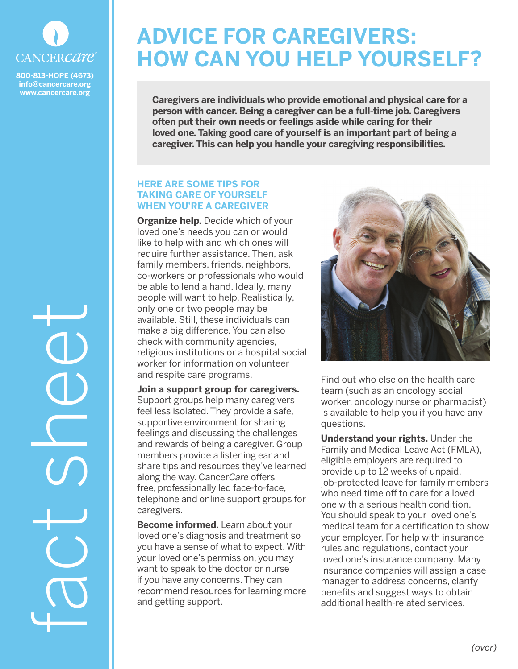

**800-813-HOPE (4673) info@cancercare.org www.cancercare.org**

fact sheet

## **ADVICE FOR CAREGIVERS: HOW CAN YOU HELP YOURSELF?**

**Caregivers are individuals who provide emotional and physical care for a person with cancer. Being a caregiver can be a full-time job. Caregivers often put their own needs or feelings aside while caring for their loved one. Taking good care of yourself is an important part of being a caregiver. This can help you handle your caregiving responsibilities.**

## **HERE ARE SOME TIPS FOR TAKING CARE OF YOURSELF WHEN YOU'RE A CAREGIVER**

**Organize help.** Decide which of your loved one's needs you can or would like to help with and which ones will require further assistance. Then, ask family members, friends, neighbors, co-workers or professionals who would be able to lend a hand. Ideally, many people will want to help. Realistically, only one or two people may be available. Still, these individuals can make a big difference. You can also check with community agencies, religious institutions or a hospital social worker for information on volunteer and respite care programs.

**Join a support group for caregivers.** Support groups help many caregivers feel less isolated. They provide a safe, supportive environment for sharing feelings and discussing the challenges and rewards of being a caregiver. Group members provide a listening ear and share tips and resources they've learned along the way. Cancer*Care* offers free, professionally led face-to-face, telephone and online support groups for caregivers.

**Become informed.** Learn about your loved one's diagnosis and treatment so you have a sense of what to expect. With your loved one's permission, you may want to speak to the doctor or nurse if you have any concerns. They can recommend resources for learning more and getting support.



Find out who else on the health care team (such as an oncology social worker, oncology nurse or pharmacist) is available to help you if you have any questions.

**Understand your rights.** Under the Family and Medical Leave Act (FMLA), eligible employers are required to provide up to 12 weeks of unpaid, job-protected leave for family members who need time off to care for a loved one with a serious health condition. You should speak to your loved one's medical team for a certification to show your employer. For help with insurance rules and regulations, contact your loved one's insurance company. Many insurance companies will assign a case manager to address concerns, clarify benefits and suggest ways to obtain additional health-related services.